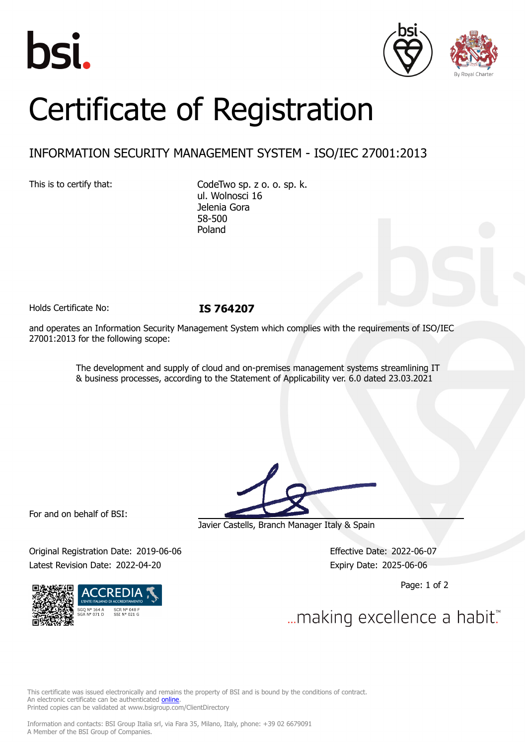





## Certificate of Registration

## INFORMATION SECURITY MANAGEMENT SYSTEM - ISO/IEC 27001:2013

This is to certify that: CodeTwo sp. z o. o. sp. k. ul. Wolnosci 16 Jelenia Gora 58-500 Poland

Holds Certificate No: **IS 764207**

and operates an Information Security Management System which complies with the requirements of ISO/IEC 27001:2013 for the following scope:

> The development and supply of cloud and on-premises management systems streamlining IT & business processes, according to the Statement of Applicability ver. 6.0 dated 23.03.2021

For and on behalf of BSI:

Original Registration Date: 2019-06-06 Effective Date: 2022-06-07 Latest Revision Date: 2022-04-20 Expiry Date: 2025-06-06



Javier Castells, Branch Manager Italy & Spain

Page: 1 of 2

... making excellence a habit."

This certificate was issued electronically and remains the property of BSI and is bound by the conditions of contract. An electronic certificate can be authenticated **[online](https://pgplus.bsigroup.com/CertificateValidation/CertificateValidator.aspx?CertificateNumber=IS+764207&ReIssueDate=20%2f04%2f2022&Template=cemea_en)** Printed copies can be validated at www.bsigroup.com/ClientDirectory

Information and contacts: BSI Group Italia srl, via Fara 35, Milano, Italy, phone: +39 02 6679091 A Member of the BSI Group of Companies.